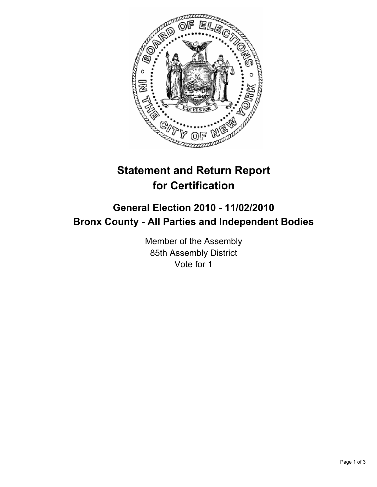

## **Statement and Return Report for Certification**

## **General Election 2010 - 11/02/2010 Bronx County - All Parties and Independent Bodies**

Member of the Assembly 85th Assembly District Vote for 1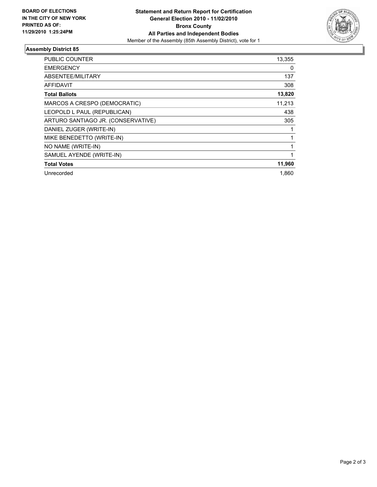

## **Assembly District 85**

| <b>PUBLIC COUNTER</b>              | 13,355 |
|------------------------------------|--------|
| <b>EMERGENCY</b>                   | 0      |
| ABSENTEE/MILITARY                  | 137    |
| AFFIDAVIT                          | 308    |
| <b>Total Ballots</b>               | 13,820 |
| MARCOS A CRESPO (DEMOCRATIC)       | 11,213 |
| LEOPOLD L PAUL (REPUBLICAN)        | 438    |
| ARTURO SANTIAGO JR. (CONSERVATIVE) | 305    |
| DANIEL ZUGER (WRITE-IN)            | 1      |
| MIKE BENEDETTO (WRITE-IN)          | 1      |
| NO NAME (WRITE-IN)                 | 1      |
| SAMUEL AYENDE (WRITE-IN)           | 1      |
| <b>Total Votes</b>                 | 11,960 |
| Unrecorded                         | 1.860  |